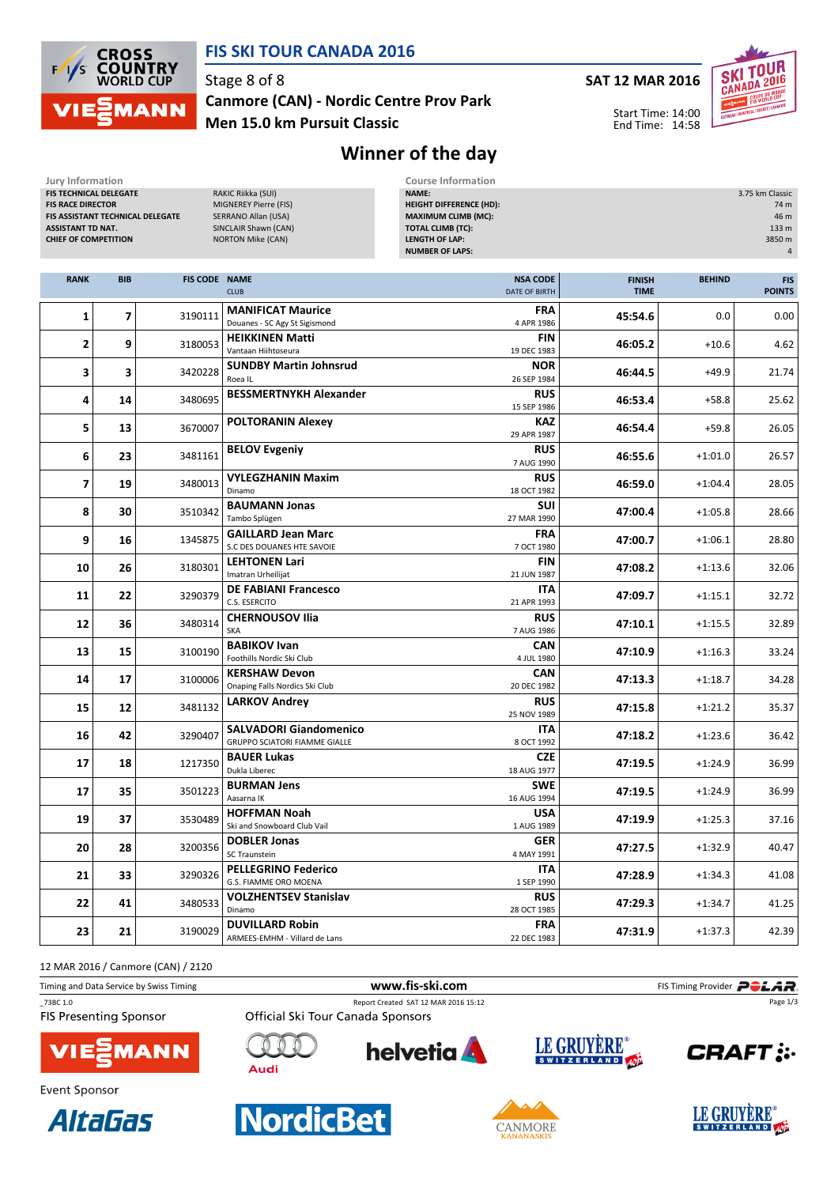

## FIS SKI TOUR CANADA 2016

Stage 8 of 8

Men 15.0 km Pursuit Classic Canmore (CAN) - Nordic Centre Prov Park SAT 12 MAR 2016

Start Time: 14:00 End Time: 14:58



# Winner of the day

| Jury Information<br>FIS TECHNICAL DELEGATE                                                                              |            |                      | RAKIC Riikka (SUI)                                                                                      | <b>Course Information</b><br>NAME:<br>3.75 km Classic                                                                                       |                              |               |                                      |  |
|-------------------------------------------------------------------------------------------------------------------------|------------|----------------------|---------------------------------------------------------------------------------------------------------|---------------------------------------------------------------------------------------------------------------------------------------------|------------------------------|---------------|--------------------------------------|--|
| <b>FIS RACE DIRECTOR</b><br>FIS ASSISTANT TECHNICAL DELEGATE<br><b>ASSISTANT TD NAT.</b><br><b>CHIEF OF COMPETITION</b> |            |                      | MIGNEREY Pierre (FIS)<br><b>SERRANO Allan (USA)</b><br>SINCLAIR Shawn (CAN)<br><b>NORTON Mike (CAN)</b> | <b>HEIGHT DIFFERENCE (HD):</b><br><b>MAXIMUM CLIMB (MC):</b><br><b>TOTAL CLIMB (TC):</b><br><b>LENGTH OF LAP:</b><br><b>NUMBER OF LAPS:</b> |                              |               | 74 m<br>46 m<br>133 m<br>3850 m<br>4 |  |
| <b>RANK</b>                                                                                                             | <b>BIB</b> | <b>FIS CODE NAME</b> | <b>CLUB</b>                                                                                             | <b>NSA CODE</b><br>DATE OF BIRTH                                                                                                            | <b>FINISH</b><br><b>TIME</b> | <b>BEHIND</b> | <b>FIS</b><br><b>POINTS</b>          |  |
| 1                                                                                                                       | 7          | 3190111              | <b>MANIFICAT Maurice</b><br>Douanes - SC Agy St Sigismond                                               | <b>FRA</b><br>4 APR 1986                                                                                                                    | 45:54.6                      | 0.0           | 0.00                                 |  |
| 2                                                                                                                       | 9          | 3180053              | <b>HEIKKINEN Matti</b><br>Vantaan Hiihtoseura                                                           | <b>FIN</b><br>19 DEC 1983                                                                                                                   | 46:05.2                      | $+10.6$       | 4.62                                 |  |
| 3                                                                                                                       | 3          | 3420228              | <b>SUNDBY Martin Johnsrud</b><br>Roea IL                                                                | <b>NOR</b><br>26 SEP 1984                                                                                                                   | 46:44.5                      | $+49.9$       | 21.74                                |  |
| 4                                                                                                                       | 14         | 3480695              | <b>BESSMERTNYKH Alexander</b>                                                                           | <b>RUS</b><br>15 SEP 1986                                                                                                                   | 46:53.4                      | $+58.8$       | 25.62                                |  |
| 5                                                                                                                       | 13         | 3670007              | <b>POLTORANIN Alexey</b>                                                                                | <b>KAZ</b><br>29 APR 1987                                                                                                                   | 46:54.4                      | $+59.8$       | 26.05                                |  |
| 6                                                                                                                       | 23         | 3481161              | <b>BELOV Evgeniy</b>                                                                                    | <b>RUS</b><br>7 AUG 1990                                                                                                                    | 46:55.6                      | $+1:01.0$     | 26.57                                |  |
| $\overline{7}$                                                                                                          | 19         | 3480013              | <b>VYLEGZHANIN Maxim</b><br>Dinamo                                                                      | <b>RUS</b><br>18 OCT 1982                                                                                                                   | 46:59.0                      | $+1:04.4$     | 28.05                                |  |
| 8                                                                                                                       | 30         | 3510342              | <b>BAUMANN Jonas</b><br>Tambo Splügen                                                                   | <b>SUI</b><br>27 MAR 1990                                                                                                                   | 47:00.4                      | $+1:05.8$     | 28.66                                |  |
| 9                                                                                                                       | 16         | 1345875              | <b>GAILLARD Jean Marc</b><br>S.C DES DOUANES HTE SAVOIE                                                 | <b>FRA</b><br>7 OCT 1980                                                                                                                    | 47:00.7                      | $+1:06.1$     | 28.80                                |  |
| 10                                                                                                                      | 26         | 3180301              | <b>LEHTONEN Lari</b><br>Imatran Urheilijat                                                              | <b>FIN</b><br>21 JUN 1987                                                                                                                   | 47:08.2                      | $+1:13.6$     | 32.06                                |  |
| 11                                                                                                                      | 22         | 3290379              | <b>DE FABIANI Francesco</b><br>C.S. ESERCITO                                                            | <b>ITA</b><br>21 APR 1993                                                                                                                   | 47:09.7                      | $+1:15.1$     | 32.72                                |  |
| 12                                                                                                                      | 36         | 3480314              | <b>CHERNOUSOV Ilia</b><br><b>SKA</b>                                                                    | <b>RUS</b><br>7 AUG 1986                                                                                                                    | 47:10.1                      | $+1:15.5$     | 32.89                                |  |
| 13                                                                                                                      | 15         | 3100190              | <b>BABIKOV Ivan</b><br>Foothills Nordic Ski Club                                                        | <b>CAN</b><br>4 JUL 1980                                                                                                                    | 47:10.9                      | $+1:16.3$     | 33.24                                |  |
| 14                                                                                                                      | 17         | 3100006              | <b>KERSHAW Devon</b><br>Onaping Falls Nordics Ski Club                                                  | <b>CAN</b><br>20 DEC 1982                                                                                                                   | 47:13.3                      | $+1:18.7$     | 34.28                                |  |
| 15                                                                                                                      | 12         | 3481132              | <b>LARKOV Andrey</b>                                                                                    | <b>RUS</b><br>25 NOV 1989                                                                                                                   | 47:15.8                      | $+1:21.2$     | 35.37                                |  |
| 16                                                                                                                      | 42         | 3290407              | <b>SALVADORI Giandomenico</b><br><b>GRUPPO SCIATORI FIAMME GIALLE</b>                                   | ITA<br>8 OCT 1992                                                                                                                           | 47:18.2                      | $+1:23.6$     | 36.42                                |  |
| 17                                                                                                                      | 18         | 1217350              | <b>BAUER Lukas</b><br>Dukla Liberec                                                                     | <b>CZE</b><br>18 AUG 1977                                                                                                                   | 47:19.5                      | $+1:24.9$     | 36.99                                |  |
| 17                                                                                                                      | 35         | 3501223              | <b>BURMAN Jens</b><br>Aasarna IK                                                                        | <b>SWE</b><br>16 AUG 1994                                                                                                                   | 47:19.5                      | $+1:24.9$     | 36.99                                |  |
| 19                                                                                                                      | 37         | 3530489              | <b>HOFFMAN Noah</b><br>Ski and Snowboard Club Vail                                                      | <b>USA</b><br>1 AUG 1989                                                                                                                    | 47:19.9                      | $+1:25.3$     | 37.16                                |  |
| 20                                                                                                                      | 28         | 3200356              | <b>DOBLER Jonas</b><br><b>SC Traunstein</b>                                                             | <b>GER</b><br>4 MAY 1991                                                                                                                    | 47:27.5                      | $+1:32.9$     | 40.47                                |  |
| 21                                                                                                                      | 33         | 3290326              | <b>PELLEGRINO Federico</b><br>G.S. FIAMME ORO MOENA                                                     | ITA<br>1 SEP 1990                                                                                                                           | 47:28.9                      | $+1:34.3$     | 41.08                                |  |
| 22                                                                                                                      | 41         | 3480533              | <b>VOLZHENTSEV Stanislav</b><br>Dinamo                                                                  | <b>RUS</b><br>28 OCT 1985                                                                                                                   | 47:29.3                      | $+1:34.7$     | 41.25                                |  |
| 23                                                                                                                      | 21         | 3190029              | <b>DUVILLARD Robin</b><br>ARMEES-EMHM - Villard de Lans                                                 | <b>FRA</b><br>22 DEC 1983                                                                                                                   | 47:31.9                      | $+1:37.3$     | 42.39                                |  |

12 MAR 2016 / Canmore (CAN) / 2120

| IL MAN 2010 / Cannole (CAN) / 2120      |                                      |             |                                  |
|-----------------------------------------|--------------------------------------|-------------|----------------------------------|
| Timing and Data Service by Swiss Timing | www.fis-ski.com                      |             | FIS Timing Provider <b>POLAR</b> |
| 73BC 1.0                                | Report Created SAT 12 MAR 2016 15:12 |             | Page 1/3                         |
| <b>FIS Presenting Sponsor</b>           | Official Ski Tour Canada Sponsors    |             |                                  |
| <b>VIE MANN</b>                         | helvetia <b>A</b>                    | LE GRUYÈRE® | <b>CRAFT:</b>                    |



Event Sponsor





**Audi** 





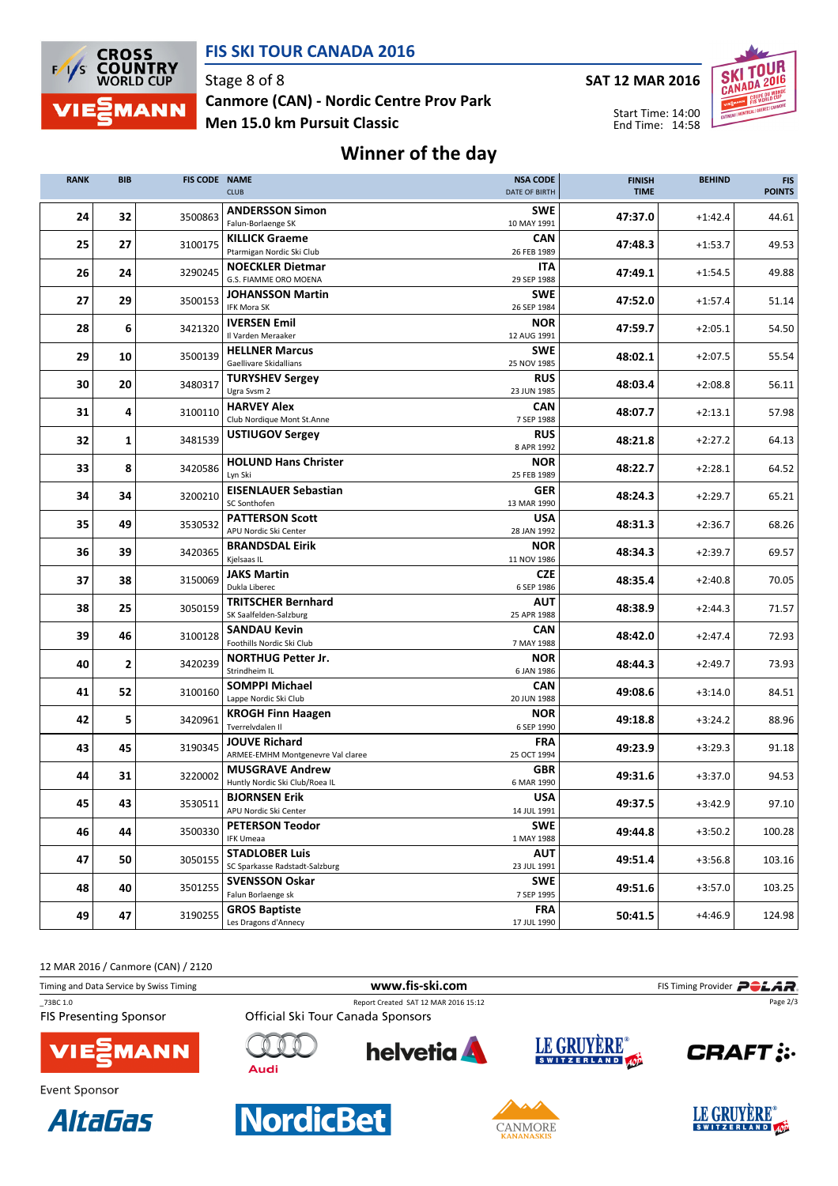

#### FIS SKI TOUR CANADA 2016

Stage 8 of 8 Men 15.0 km Pursuit Classic Canmore (CAN) - Nordic Centre Prov Park SAT 12 MAR 2016

Start Time: 14:00 End Time: 14:58



## Winner of the day

| <b>RANK</b> | <b>BIB</b>              | <b>FIS CODE NAME</b> | <b>CLUB</b>                                               | <b>NSA CODE</b><br>DATE OF BIRTH | <b>FINISH</b><br><b>TIME</b> | <b>BEHIND</b> | <b>FIS</b><br><b>POINTS</b> |
|-------------|-------------------------|----------------------|-----------------------------------------------------------|----------------------------------|------------------------------|---------------|-----------------------------|
| 24          | 32                      | 3500863              | <b>ANDERSSON Simon</b><br>Falun-Borlaenge SK              | <b>SWE</b><br>10 MAY 1991        | 47:37.0                      | $+1:42.4$     | 44.61                       |
| 25          | 27                      | 3100175              | <b>KILLICK Graeme</b><br>Ptarmigan Nordic Ski Club        | <b>CAN</b><br>26 FEB 1989        | 47:48.3                      | $+1:53.7$     | 49.53                       |
| 26          | 24                      | 3290245              | <b>NOECKLER Dietmar</b><br>G.S. FIAMME ORO MOENA          | ITA<br>29 SEP 1988               | 47:49.1                      | $+1:54.5$     | 49.88                       |
| 27          | 29                      | 3500153              | JOHANSSON Martin<br>IFK Mora SK                           | <b>SWE</b><br>26 SEP 1984        | 47:52.0                      | $+1:57.4$     | 51.14                       |
| 28          | 6                       | 3421320              | <b>IVERSEN Emil</b><br>Il Varden Meraaker                 | <b>NOR</b><br>12 AUG 1991        | 47:59.7                      | $+2:05.1$     | 54.50                       |
| 29          | 10                      | 3500139              | <b>HELLNER Marcus</b><br>Gaellivare Skidallians           | <b>SWE</b><br>25 NOV 1985        | 48:02.1                      | $+2:07.5$     | 55.54                       |
| 30          | 20                      | 3480317              | <b>TURYSHEV Sergey</b><br>Ugra Svsm 2                     | <b>RUS</b><br>23 JUN 1985        | 48:03.4                      | $+2:08.8$     | 56.11                       |
| 31          | 4                       | 3100110              | <b>HARVEY Alex</b><br>Club Nordique Mont St.Anne          | CAN<br>7 SEP 1988                | 48:07.7                      | $+2:13.1$     | 57.98                       |
| 32          | $\mathbf{1}$            | 3481539              | <b>USTIUGOV Sergey</b>                                    | <b>RUS</b><br>8 APR 1992         | 48:21.8                      | $+2:27.2$     | 64.13                       |
| 33          | 8                       | 3420586              | <b>HOLUND Hans Christer</b><br>Lyn Ski                    | <b>NOR</b><br>25 FEB 1989        | 48:22.7                      | $+2:28.1$     | 64.52                       |
| 34          | 34                      | 3200210              | <b>EISENLAUER Sebastian</b><br>SC Sonthofen               | <b>GER</b><br>13 MAR 1990        | 48:24.3                      | $+2:29.7$     | 65.21                       |
| 35          | 49                      | 3530532              | <b>PATTERSON Scott</b><br>APU Nordic Ski Center           | <b>USA</b><br>28 JAN 1992        | 48:31.3                      | $+2:36.7$     | 68.26                       |
| 36          | 39                      | 3420365              | <b>BRANDSDAL Eirik</b><br>Kjelsaas IL                     | <b>NOR</b><br>11 NOV 1986        | 48:34.3                      | $+2:39.7$     | 69.57                       |
| 37          | 38                      | 3150069              | <b>JAKS Martin</b><br>Dukla Liberec                       | CZE<br>6 SEP 1986                | 48:35.4                      | $+2:40.8$     | 70.05                       |
| 38          | 25                      | 3050159              | <b>TRITSCHER Bernhard</b><br>SK Saalfelden-Salzburg       | <b>AUT</b><br>25 APR 1988        | 48:38.9                      | $+2:44.3$     | 71.57                       |
| 39          | 46                      | 3100128              | <b>SANDAU Kevin</b><br>Foothills Nordic Ski Club          | <b>CAN</b><br>7 MAY 1988         | 48:42.0                      | $+2:47.4$     | 72.93                       |
| 40          | $\overline{\mathbf{2}}$ | 3420239              | <b>NORTHUG Petter Jr.</b><br>Strindheim IL                | <b>NOR</b><br>6 JAN 1986         | 48:44.3                      | $+2:49.7$     | 73.93                       |
| 41          | 52                      | 3100160              | <b>SOMPPI Michael</b><br>Lappe Nordic Ski Club            | <b>CAN</b><br>20 JUN 1988        | 49:08.6                      | $+3:14.0$     | 84.51                       |
| 42          | 5                       | 3420961              | <b>KROGH Finn Haagen</b><br>Tverrelvdalen II              | <b>NOR</b><br>6 SEP 1990         | 49:18.8                      | $+3:24.2$     | 88.96                       |
| 43          | 45                      | 3190345              | <b>JOUVE Richard</b><br>ARMEE-EMHM Montgenevre Val claree | <b>FRA</b><br>25 OCT 1994        | 49:23.9                      | $+3:29.3$     | 91.18                       |
| 44          | 31                      | 3220002              | <b>MUSGRAVE Andrew</b><br>Huntly Nordic Ski Club/Roea IL  | GBR<br>6 MAR 1990                | 49:31.6                      | $+3:37.0$     | 94.53                       |
| 45          | 43                      | 3530511              | <b>BJORNSEN Erik</b><br>APU Nordic Ski Center             | USA<br>14 JUL 1991               | 49:37.5                      | $+3:42.9$     | 97.10                       |
| 46          | 44                      | 3500330              | <b>PETERSON Teodor</b><br><b>IFK Umeaa</b>                | <b>SWE</b><br>1 MAY 1988         | 49:44.8                      | $+3:50.2$     | 100.28                      |
| 47          | 50                      | 3050155              | <b>STADLOBER Luis</b><br>SC Sparkasse Radstadt-Salzburg   | <b>AUT</b><br>23 JUL 1991        | 49:51.4                      | $+3:56.8$     | 103.16                      |
| 48          | 40                      | 3501255              | <b>SVENSSON Oskar</b><br>Falun Borlaenge sk               | <b>SWE</b><br>7 SEP 1995         | 49:51.6                      | $+3:57.0$     | 103.25                      |
| 49          | 47                      | 3190255              | <b>GROS Baptiste</b><br>Les Dragons d'Annecy              | <b>FRA</b><br>17 JUL 1990        | 50:41.5                      | $+4:46.9$     | 124.98                      |

12 MAR 2016 / Canmore (CAN) / 2120

**AltaGas**